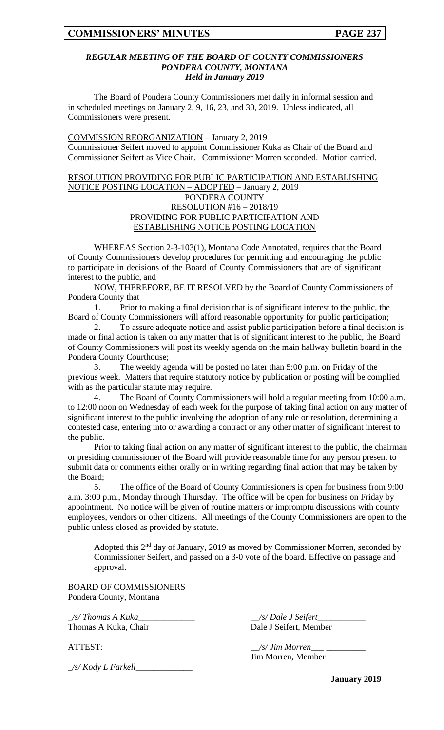#### *REGULAR MEETING OF THE BOARD OF COUNTY COMMISSIONERS PONDERA COUNTY, MONTANA Held in January 2019*

The Board of Pondera County Commissioners met daily in informal session and in scheduled meetings on January 2, 9, 16, 23, and 30, 2019. Unless indicated, all Commissioners were present.

### COMMISSION REORGANIZATION – January 2, 2019

Commissioner Seifert moved to appoint Commissioner Kuka as Chair of the Board and Commissioner Seifert as Vice Chair. Commissioner Morren seconded. Motion carried.

### RESOLUTION PROVIDING FOR PUBLIC PARTICIPATION AND ESTABLISHING NOTICE POSTING LOCATION – ADOPTED – January 2, 2019 PONDERA COUNTY RESOLUTION #16 – 2018/19 PROVIDING FOR PUBLIC PARTICIPATION AND ESTABLISHING NOTICE POSTING LOCATION

WHEREAS Section 2-3-103(1), Montana Code Annotated, requires that the Board of County Commissioners develop procedures for permitting and encouraging the public to participate in decisions of the Board of County Commissioners that are of significant interest to the public, and

NOW, THEREFORE, BE IT RESOLVED by the Board of County Commissioners of Pondera County that

1. Prior to making a final decision that is of significant interest to the public, the Board of County Commissioners will afford reasonable opportunity for public participation;

2. To assure adequate notice and assist public participation before a final decision is made or final action is taken on any matter that is of significant interest to the public, the Board of County Commissioners will post its weekly agenda on the main hallway bulletin board in the Pondera County Courthouse;

3. The weekly agenda will be posted no later than 5:00 p.m. on Friday of the previous week. Matters that require statutory notice by publication or posting will be complied with as the particular statute may require.

4. The Board of County Commissioners will hold a regular meeting from 10:00 a.m. to 12:00 noon on Wednesday of each week for the purpose of taking final action on any matter of significant interest to the public involving the adoption of any rule or resolution, determining a contested case, entering into or awarding a contract or any other matter of significant interest to the public.

Prior to taking final action on any matter of significant interest to the public, the chairman or presiding commissioner of the Board will provide reasonable time for any person present to submit data or comments either orally or in writing regarding final action that may be taken by the Board;

5. The office of the Board of County Commissioners is open for business from 9:00 a.m. 3:00 p.m., Monday through Thursday. The office will be open for business on Friday by appointment. No notice will be given of routine matters or impromptu discussions with county employees, vendors or other citizens. All meetings of the County Commissioners are open to the public unless closed as provided by statute.

Adopted this  $2<sup>nd</sup>$  day of January, 2019 as moved by Commissioner Morren, seconded by Commissioner Seifert, and passed on a 3-0 vote of the board. Effective on passage and approval.

BOARD OF COMMISSIONERS Pondera County, Montana

\_*/s/ Thomas A Kuka*\_\_\_\_\_\_\_\_\_\_\_\_\_ \_\_*/s/ Dale J Seifert*\_\_\_\_\_\_\_\_\_\_\_ Thomas A Kuka, Chair Dale J Seifert, Member

ATTEST:  $\frac{1}{s}$  /s/ Jim Morren\_ Jim Morren, Member

\_*/s/ Kody L Farkell*\_\_\_\_\_\_\_\_\_\_\_\_\_

**January 2019**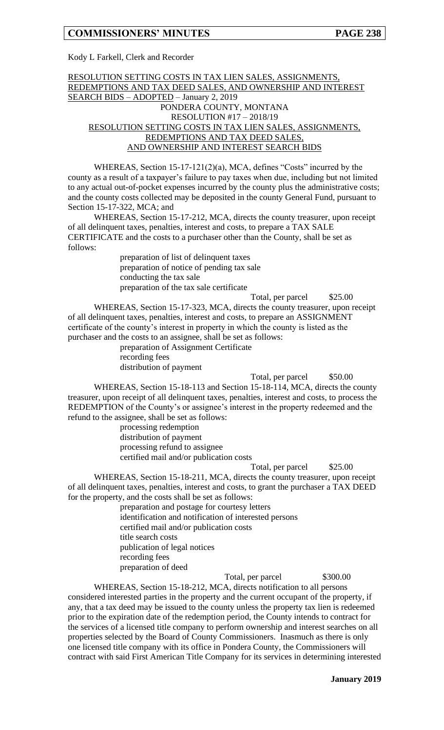Kody L Farkell, Clerk and Recorder

### RESOLUTION SETTING COSTS IN TAX LIEN SALES, ASSIGNMENTS, REDEMPTIONS AND TAX DEED SALES, AND OWNERSHIP AND INTEREST SEARCH BIDS – ADOPTED – January 2, 2019 PONDERA COUNTY, MONTANA RESOLUTION #17 – 2018/19 RESOLUTION SETTING COSTS IN TAX LIEN SALES, ASSIGNMENTS, REDEMPTIONS AND TAX DEED SALES, AND OWNERSHIP AND INTEREST SEARCH BIDS

WHEREAS, Section 15-17-121(2)(a), MCA, defines "Costs" incurred by the county as a result of a taxpayer's failure to pay taxes when due, including but not limited to any actual out-of-pocket expenses incurred by the county plus the administrative costs; and the county costs collected may be deposited in the county General Fund, pursuant to Section 15-17-322, MCA; and

WHEREAS, Section 15-17-212, MCA, directs the county treasurer, upon receipt of all delinquent taxes, penalties, interest and costs, to prepare a TAX SALE CERTIFICATE and the costs to a purchaser other than the County, shall be set as follows:

> preparation of list of delinquent taxes preparation of notice of pending tax sale conducting the tax sale preparation of the tax sale certificate

Total, per parcel  $$25.00$ WHEREAS, Section 15-17-323, MCA, directs the county treasurer, upon receipt of all delinquent taxes, penalties, interest and costs, to prepare an ASSIGNMENT certificate of the county's interest in property in which the county is listed as the purchaser and the costs to an assignee, shall be set as follows:

preparation of Assignment Certificate recording fees distribution of payment

Total, per parcel \$50.00

WHEREAS, Section 15-18-113 and Section 15-18-114, MCA, directs the county treasurer, upon receipt of all delinquent taxes, penalties, interest and costs, to process the REDEMPTION of the County's or assignee's interest in the property redeemed and the refund to the assignee, shall be set as follows:

> processing redemption distribution of payment processing refund to assignee certified mail and/or publication costs

Total, per parcel  $$25.00$ 

WHEREAS, Section 15-18-211, MCA, directs the county treasurer, upon receipt of all delinquent taxes, penalties, interest and costs, to grant the purchaser a TAX DEED for the property, and the costs shall be set as follows:

preparation and postage for courtesy letters identification and notification of interested persons certified mail and/or publication costs title search costs publication of legal notices recording fees preparation of deed

Total, per parcel \$300.00

WHEREAS, Section 15-18-212, MCA, directs notification to all persons considered interested parties in the property and the current occupant of the property, if any, that a tax deed may be issued to the county unless the property tax lien is redeemed prior to the expiration date of the redemption period, the County intends to contract for the services of a licensed title company to perform ownership and interest searches on all properties selected by the Board of County Commissioners. Inasmuch as there is only one licensed title company with its office in Pondera County, the Commissioners will contract with said First American Title Company for its services in determining interested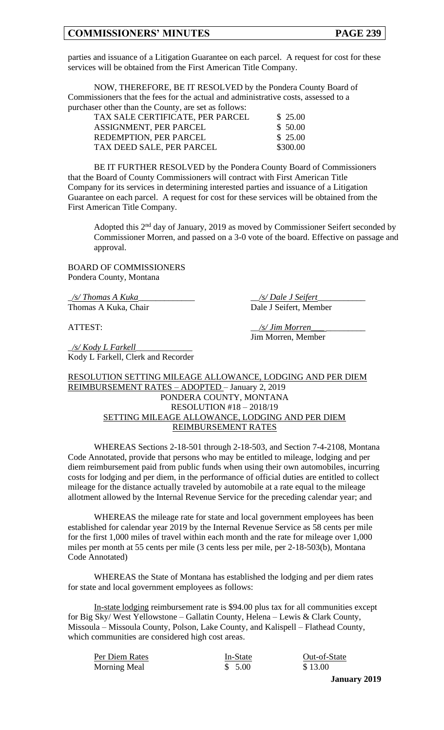parties and issuance of a Litigation Guarantee on each parcel. A request for cost for these services will be obtained from the First American Title Company.

NOW, THEREFORE, BE IT RESOLVED by the Pondera County Board of Commissioners that the fees for the actual and administrative costs, assessed to a purchaser other than the County, are set as follows:

| TAX SALE CERTIFICATE, PER PARCEL | \$25.00  |
|----------------------------------|----------|
| ASSIGNMENT, PER PARCEL           | \$50.00  |
| REDEMPTION, PER PARCEL           | \$25.00  |
| TAX DEED SALE, PER PARCEL        | \$300.00 |
|                                  |          |

BE IT FURTHER RESOLVED by the Pondera County Board of Commissioners that the Board of County Commissioners will contract with First American Title Company for its services in determining interested parties and issuance of a Litigation Guarantee on each parcel. A request for cost for these services will be obtained from the First American Title Company.

Adopted this  $2<sup>nd</sup>$  day of January, 2019 as moved by Commissioner Seifert seconded by Commissioner Morren, and passed on a 3-0 vote of the board. Effective on passage and approval.

BOARD OF COMMISSIONERS Pondera County, Montana

\_*/s/ Thomas A Kuka*\_\_\_\_\_\_\_\_\_\_\_\_\_ \_\_*/s/ Dale J Seifert*\_\_\_\_\_\_\_\_\_\_\_ Thomas A Kuka, Chair Dale J Seifert, Member

ATTEST:  $\frac{1}{s}$  /s/ *Jim Morren* 

Jim Morren, Member

\_*/s/ Kody L Farkell*\_\_\_\_\_\_\_\_\_\_\_\_\_ Kody L Farkell, Clerk and Recorder

### RESOLUTION SETTING MILEAGE ALLOWANCE, LODGING AND PER DIEM REIMBURSEMENT RATES – ADOPTED – January 2, 2019 PONDERA COUNTY, MONTANA RESOLUTION #18 – 2018/19 SETTING MILEAGE ALLOWANCE, LODGING AND PER DIEM REIMBURSEMENT RATES

WHEREAS Sections 2-18-501 through 2-18-503, and Section 7-4-2108, Montana Code Annotated, provide that persons who may be entitled to mileage, lodging and per diem reimbursement paid from public funds when using their own automobiles, incurring costs for lodging and per diem, in the performance of official duties are entitled to collect mileage for the distance actually traveled by automobile at a rate equal to the mileage allotment allowed by the Internal Revenue Service for the preceding calendar year; and

WHEREAS the mileage rate for state and local government employees has been established for calendar year 2019 by the Internal Revenue Service as 58 cents per mile for the first 1,000 miles of travel within each month and the rate for mileage over 1,000 miles per month at 55 cents per mile (3 cents less per mile, per 2-18-503(b), Montana Code Annotated)

WHEREAS the State of Montana has established the lodging and per diem rates for state and local government employees as follows:

In-state lodging reimbursement rate is \$94.00 plus tax for all communities except for Big Sky/ West Yellowstone – Gallatin County, Helena – Lewis & Clark County, Missoula – Missoula County, Polson, Lake County, and Kalispell – Flathead County, which communities are considered high cost areas.

| Per Diem Rates | In-State | Out-of-State |
|----------------|----------|--------------|
| Morning Meal   | \$5.00   | \$13.00      |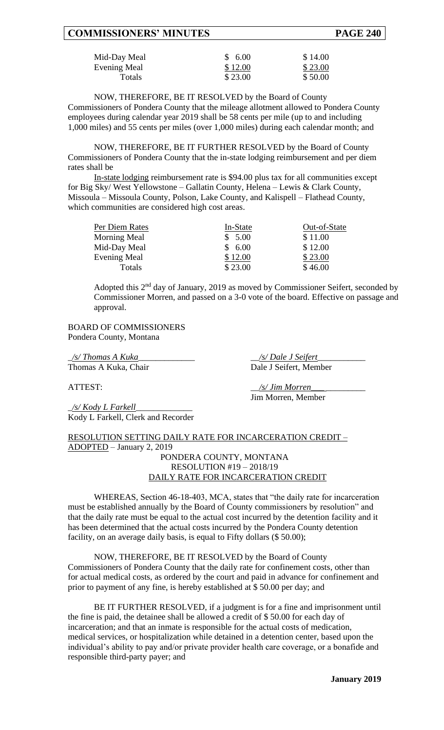| Mid-Day Meal  | \$6.00  | \$14.00 |
|---------------|---------|---------|
| Evening Meal  | \$12.00 | \$23.00 |
| <b>Totals</b> | \$23.00 | \$50.00 |

NOW, THEREFORE, BE IT RESOLVED by the Board of County Commissioners of Pondera County that the mileage allotment allowed to Pondera County employees during calendar year 2019 shall be 58 cents per mile (up to and including 1,000 miles) and 55 cents per miles (over 1,000 miles) during each calendar month; and

NOW, THEREFORE, BE IT FURTHER RESOLVED by the Board of County Commissioners of Pondera County that the in-state lodging reimbursement and per diem rates shall be

In-state lodging reimbursement rate is \$94.00 plus tax for all communities except for Big Sky/ West Yellowstone – Gallatin County, Helena – Lewis & Clark County, Missoula – Missoula County, Polson, Lake County, and Kalispell – Flathead County, which communities are considered high cost areas.

| Per Diem Rates      | In-State | Out-of-State |
|---------------------|----------|--------------|
| <b>Morning Meal</b> | \$5.00   | \$11.00      |
| Mid-Day Meal        | \$6.00   | \$12.00      |
| <b>Evening Meal</b> | \$12.00  | \$23.00      |
| Totals              | \$23.00  | \$46.00      |

Adopted this 2nd day of January, 2019 as moved by Commissioner Seifert, seconded by Commissioner Morren, and passed on a 3-0 vote of the board. Effective on passage and approval.

BOARD OF COMMISSIONERS Pondera County, Montana

\_*/s/ Thomas A Kuka*\_\_\_\_\_\_\_\_\_\_\_\_\_ \_\_*/s/ Dale J Seifert*\_\_\_\_\_\_\_\_\_\_\_ Thomas A Kuka, Chair Dale J Seifert, Member

ATTEST:  $\frac{s}{\sqrt{s}}$  *Jim Morren* 

Jim Morren, Member

\_*/s/ Kody L Farkell*\_\_\_\_\_\_\_\_\_\_\_\_\_ Kody L Farkell, Clerk and Recorder

## RESOLUTION SETTING DAILY RATE FOR INCARCERATION CREDIT – ADOPTED – January 2, 2019

PONDERA COUNTY, MONTANA RESOLUTION #19 – 2018/19 DAILY RATE FOR INCARCERATION CREDIT

WHEREAS, Section 46-18-403, MCA, states that "the daily rate for incarceration must be established annually by the Board of County commissioners by resolution" and that the daily rate must be equal to the actual cost incurred by the detention facility and it has been determined that the actual costs incurred by the Pondera County detention facility, on an average daily basis, is equal to Fifty dollars  $(\$ 50.00)$ ;

NOW, THEREFORE, BE IT RESOLVED by the Board of County Commissioners of Pondera County that the daily rate for confinement costs, other than for actual medical costs, as ordered by the court and paid in advance for confinement and prior to payment of any fine, is hereby established at \$ 50.00 per day; and

BE IT FURTHER RESOLVED, if a judgment is for a fine and imprisonment until the fine is paid, the detainee shall be allowed a credit of \$ 50.00 for each day of incarceration; and that an inmate is responsible for the actual costs of medication, medical services, or hospitalization while detained in a detention center, based upon the individual's ability to pay and/or private provider health care coverage, or a bonafide and responsible third-party payer; and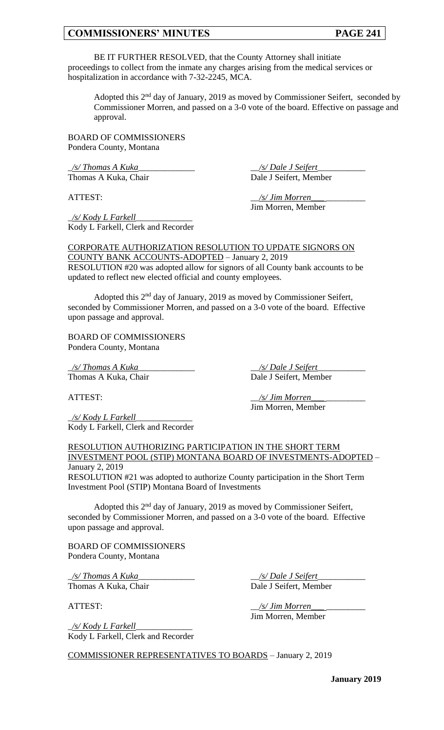BE IT FURTHER RESOLVED, that the County Attorney shall initiate proceedings to collect from the inmate any charges arising from the medical services or hospitalization in accordance with 7-32-2245, MCA.

Adopted this 2<sup>nd</sup> day of January, 2019 as moved by Commissioner Seifert, seconded by Commissioner Morren, and passed on a 3-0 vote of the board. Effective on passage and approval.

BOARD OF COMMISSIONERS Pondera County, Montana

\_*/s/ Thomas A Kuka*\_\_\_\_\_\_\_\_\_\_\_\_\_ \_\_*/s/ Dale J Seifert*\_\_\_\_\_\_\_\_\_\_\_ Thomas A Kuka, Chair Dale J Seifert, Member

ATTEST:  $\frac{1}{s}$  /s/ Jim Morren Jim Morren, Member

\_*/s/ Kody L Farkell*\_\_\_\_\_\_\_\_\_\_\_\_\_ Kody L Farkell, Clerk and Recorder

CORPORATE AUTHORIZATION RESOLUTION TO UPDATE SIGNORS ON COUNTY BANK ACCOUNTS-ADOPTED – January 2, 2019

RESOLUTION #20 was adopted allow for signors of all County bank accounts to be updated to reflect new elected official and county employees.

Adopted this 2nd day of January, 2019 as moved by Commissioner Seifert, seconded by Commissioner Morren, and passed on a 3-0 vote of the board. Effective upon passage and approval.

BOARD OF COMMISSIONERS Pondera County, Montana

\_*/s/ Thomas A Kuka*\_\_\_\_\_\_\_\_\_\_\_\_\_ \_\_*/s/ Dale J Seifert*\_\_\_\_\_\_\_\_\_\_\_ Thomas A Kuka, Chair Dale J Seifert, Member

\_*/s/ Kody L Farkell*\_\_\_\_\_\_\_\_\_\_\_\_\_ Kody L Farkell, Clerk and Recorder

ATTEST:  $\frac{1}{s}$  /s/ Jim Morren Jim Morren, Member

#### RESOLUTION AUTHORIZING PARTICIPATION IN THE SHORT TERM INVESTMENT POOL (STIP) MONTANA BOARD OF INVESTMENTS-ADOPTED – January 2, 2019

RESOLUTION #21 was adopted to authorize County participation in the Short Term Investment Pool (STIP) Montana Board of Investments

Adopted this 2nd day of January, 2019 as moved by Commissioner Seifert, seconded by Commissioner Morren, and passed on a 3-0 vote of the board. Effective upon passage and approval.

BOARD OF COMMISSIONERS Pondera County, Montana

\_*/s/ Thomas A Kuka*\_\_\_\_\_\_\_\_\_\_\_\_\_ \_\_*/s/ Dale J Seifert*\_\_\_\_\_\_\_\_\_\_\_ Thomas A Kuka, Chair Dale J Seifert, Member

ATTEST:  $\frac{1}{s}$  /s/ Jim Morren Jim Morren, Member

\_*/s/ Kody L Farkell*\_\_\_\_\_\_\_\_\_\_\_\_\_ Kody L Farkell, Clerk and Recorder

COMMISSIONER REPRESENTATIVES TO BOARDS – January 2, 2019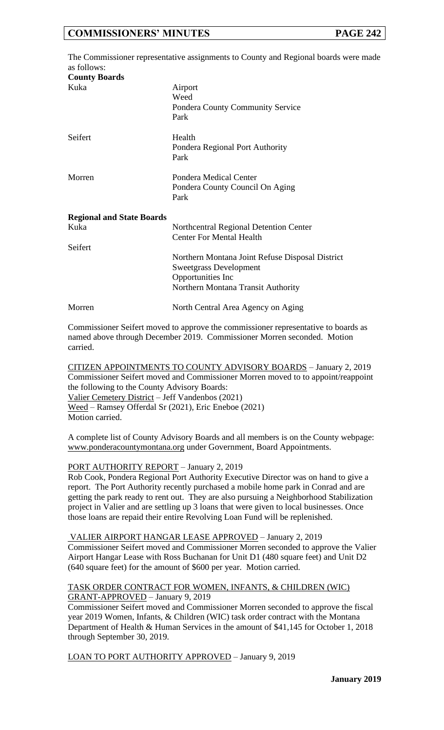|                                  | The Commissioner representative assignments to County and Regional boards were made |
|----------------------------------|-------------------------------------------------------------------------------------|
| as follows:                      |                                                                                     |
| <b>County Boards</b>             |                                                                                     |
| Kuka                             | Airport                                                                             |
|                                  | Weed                                                                                |
|                                  | <b>Pondera County Community Service</b>                                             |
|                                  | Park                                                                                |
| Seifert                          | Health                                                                              |
|                                  | Pondera Regional Port Authority                                                     |
|                                  | Park                                                                                |
| Morren                           | Pondera Medical Center                                                              |
|                                  | Pondera County Council On Aging<br>Park                                             |
|                                  |                                                                                     |
| <b>Regional and State Boards</b> |                                                                                     |
| Kuka                             | Northcentral Regional Detention Center                                              |
|                                  | <b>Center For Mental Health</b>                                                     |
| Seifert                          |                                                                                     |
|                                  | Northern Montana Joint Refuse Disposal District                                     |
|                                  | <b>Sweetgrass Development</b>                                                       |
|                                  | Opportunities Inc                                                                   |
|                                  | Northern Montana Transit Authority                                                  |
| Morren                           | North Central Area Agency on Aging                                                  |

Commissioner Seifert moved to approve the commissioner representative to boards as named above through December 2019. Commissioner Morren seconded. Motion carried.

CITIZEN APPOINTMENTS TO COUNTY ADVISORY BOARDS – January 2, 2019 Commissioner Seifert moved and Commissioner Morren moved to to appoint/reappoint the following to the County Advisory Boards: Valier Cemetery District – Jeff Vandenbos (2021) Weed – Ramsey Offerdal Sr (2021), Eric Eneboe (2021) Motion carried.

A complete list of County Advisory Boards and all members is on the County webpage: www.ponderacountymontana.org under Government, Board Appointments.

### PORT AUTHORITY REPORT – January 2, 2019

Rob Cook, Pondera Regional Port Authority Executive Director was on hand to give a report. The Port Authority recently purchased a mobile home park in Conrad and are getting the park ready to rent out. They are also pursuing a Neighborhood Stabilization project in Valier and are settling up 3 loans that were given to local businesses. Once those loans are repaid their entire Revolving Loan Fund will be replenished.

VALIER AIRPORT HANGAR LEASE APPROVED – January 2, 2019 Commissioner Seifert moved and Commissioner Morren seconded to approve the Valier Airport Hangar Lease with Ross Buchanan for Unit D1 (480 square feet) and Unit D2 (640 square feet) for the amount of \$600 per year. Motion carried.

### TASK ORDER CONTRACT FOR WOMEN, INFANTS, & CHILDREN (WIC) GRANT-APPROVED – January 9, 2019

Commissioner Seifert moved and Commissioner Morren seconded to approve the fiscal year 2019 Women, Infants, & Children (WIC) task order contract with the Montana Department of Health & Human Services in the amount of \$41,145 for October 1, 2018 through September 30, 2019.

LOAN TO PORT AUTHORITY APPROVED – January 9, 2019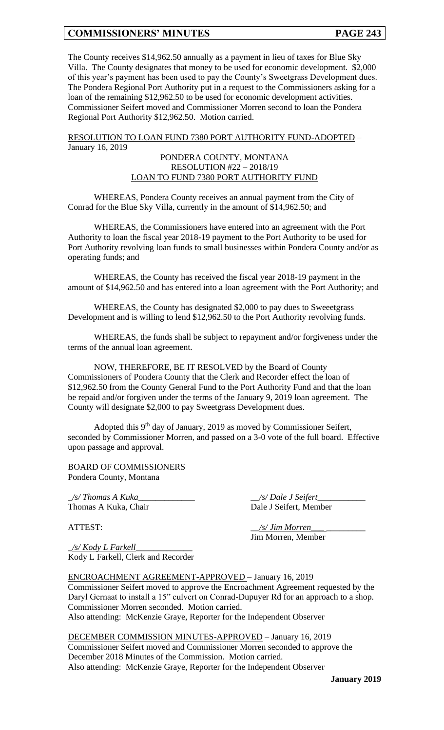The County receives \$14,962.50 annually as a payment in lieu of taxes for Blue Sky Villa. The County designates that money to be used for economic development. \$2,000 of this year's payment has been used to pay the County's Sweetgrass Development dues. The Pondera Regional Port Authority put in a request to the Commissioners asking for a loan of the remaining \$12,962.50 to be used for economic development activities. Commissioner Seifert moved and Commissioner Morren second to loan the Pondera Regional Port Authority \$12,962.50. Motion carried.

#### RESOLUTION TO LOAN FUND 7380 PORT AUTHORITY FUND-ADOPTED – January 16, 2019

### PONDERA COUNTY, MONTANA RESOLUTION #22 – 2018/19 LOAN TO FUND 7380 PORT AUTHORITY FUND

WHEREAS, Pondera County receives an annual payment from the City of Conrad for the Blue Sky Villa, currently in the amount of \$14,962.50; and

WHEREAS, the Commissioners have entered into an agreement with the Port Authority to loan the fiscal year 2018-19 payment to the Port Authority to be used for Port Authority revolving loan funds to small businesses within Pondera County and/or as operating funds; and

WHEREAS, the County has received the fiscal year 2018-19 payment in the amount of \$14,962.50 and has entered into a loan agreement with the Port Authority; and

WHEREAS, the County has designated \$2,000 to pay dues to Sweeetgrass Development and is willing to lend \$12,962.50 to the Port Authority revolving funds.

WHEREAS, the funds shall be subject to repayment and/or forgiveness under the terms of the annual loan agreement.

NOW, THEREFORE, BE IT RESOLVED by the Board of County Commissioners of Pondera County that the Clerk and Recorder effect the loan of \$12,962.50 from the County General Fund to the Port Authority Fund and that the loan be repaid and/or forgiven under the terms of the January 9, 2019 loan agreement. The County will designate \$2,000 to pay Sweetgrass Development dues.

Adopted this  $9<sup>th</sup>$  day of January, 2019 as moved by Commissioner Seifert, seconded by Commissioner Morren, and passed on a 3-0 vote of the full board. Effective upon passage and approval.

BOARD OF COMMISSIONERS Pondera County, Montana

\_*/s/ Thomas A Kuka*\_\_\_\_\_\_\_\_\_\_\_\_\_ \_\_*/s/ Dale J Seifert*\_\_\_\_\_\_\_\_\_\_\_

Thomas A Kuka, Chair Dale J Seifert, Member

ATTEST:  $\frac{1}{s}$  /s/ Jim Morren\_

Jim Morren, Member

\_*/s/ Kody L Farkell*\_\_\_\_\_\_\_\_\_\_\_\_\_ Kody L Farkell, Clerk and Recorder

ENCROACHMENT AGREEMENT-APPROVED – January 16, 2019 Commissioner Seifert moved to approve the Encroachment Agreement requested by the Daryl Gernaat to install a 15" culvert on Conrad-Dupuyer Rd for an approach to a shop. Commissioner Morren seconded. Motion carried. Also attending: McKenzie Graye, Reporter for the Independent Observer

# DECEMBER COMMISSION MINUTES-APPROVED – January 16, 2019

Commissioner Seifert moved and Commissioner Morren seconded to approve the December 2018 Minutes of the Commission. Motion carried. Also attending: McKenzie Graye, Reporter for the Independent Observer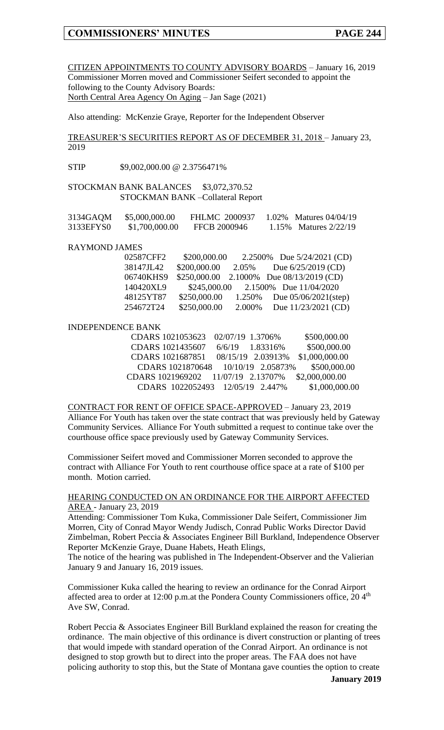CITIZEN APPOINTMENTS TO COUNTY ADVISORY BOARDS – January 16, 2019 Commissioner Morren moved and Commissioner Seifert seconded to appoint the following to the County Advisory Boards: North Central Area Agency On Aging - Jan Sage (2021)

Also attending: McKenzie Graye, Reporter for the Independent Observer

TREASURER'S SECURITIES REPORT AS OF DECEMBER 31, 2018 – January 23, 2019

STIP \$9,002,000.00 @ 2.3756471%

STOCKMAN BANK BALANCES \$3,072,370.52 STOCKMAN BANK –Collateral Report

| 3134GAQM  | \$5,000,000.00 | <b>FHLMC 2000937</b> | 1.02\% Matures 04/04/19 |
|-----------|----------------|----------------------|-------------------------|
| 3133EFYS0 | \$1,700,000.00 | FFCB 2000946         | 1.15\% Matures 2/22/19  |

#### RAYMOND JAMES

| 02587CFF2 | \$200,000.00 |        | 2.2500% Due 5/24/2021 (CD)  |
|-----------|--------------|--------|-----------------------------|
| 38147JL42 | \$200,000.00 | 2.05%  | Due $6/25/2019$ (CD)        |
| 06740KHS9 | \$250,000.00 |        | 2.1000% Due 08/13/2019 (CD) |
| 140420XL9 | \$245,000.00 |        | 2.1500% Due 11/04/2020      |
| 48125YT87 | \$250,000.00 | 1.250% | Due $05/06/2021$ (step)     |
| 254672T24 | \$250,000.00 | 2.000% | Due 11/23/2021 (CD)         |

#### INDEPENDENCE BANK

|                  | CDARS 1021053623 02/07/19 1.3706%  |                                    | \$500,000.00   |
|------------------|------------------------------------|------------------------------------|----------------|
|                  | CDARS 1021435607 6/6/19 1.83316%   |                                    | \$500,000.00   |
| CDARS 1021687851 |                                    | 08/15/19 2.03913%                  | \$1,000,000.00 |
|                  |                                    | CDARS 1021870648 10/10/19 2.05873% | \$500,000.00   |
|                  | CDARS 1021969202 11/07/19 2.13707% |                                    | \$2,000,000.00 |
|                  | CDARS 1022052493 12/05/19 2.447%   |                                    | \$1,000,000.00 |

CONTRACT FOR RENT OF OFFICE SPACE-APPROVED – January 23, 2019 Alliance For Youth has taken over the state contract that was previously held by Gateway Community Services. Alliance For Youth submitted a request to continue take over the courthouse office space previously used by Gateway Community Services.

Commissioner Seifert moved and Commissioner Morren seconded to approve the contract with Alliance For Youth to rent courthouse office space at a rate of \$100 per month. Motion carried.

#### HEARING CONDUCTED ON AN ORDINANCE FOR THE AIRPORT AFFECTED AREA - January 23, 2019

Attending: Commissioner Tom Kuka, Commissioner Dale Seifert, Commissioner Jim Morren, City of Conrad Mayor Wendy Judisch, Conrad Public Works Director David Zimbelman, Robert Peccia & Associates Engineer Bill Burkland, Independence Observer Reporter McKenzie Graye, Duane Habets, Heath Elings,

The notice of the hearing was published in The Independent-Observer and the Valierian January 9 and January 16, 2019 issues.

Commissioner Kuka called the hearing to review an ordinance for the Conrad Airport affected area to order at 12:00 p.m.at the Pondera County Commissioners office,  $20.4<sup>th</sup>$ Ave SW, Conrad.

Robert Peccia & Associates Engineer Bill Burkland explained the reason for creating the ordinance. The main objective of this ordinance is divert construction or planting of trees that would impede with standard operation of the Conrad Airport. An ordinance is not designed to stop growth but to direct into the proper areas. The FAA does not have policing authority to stop this, but the State of Montana gave counties the option to create

**January 2019**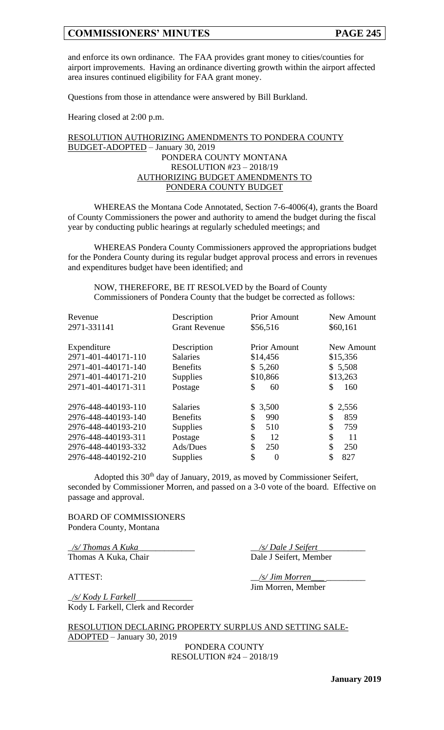and enforce its own ordinance. The FAA provides grant money to cities/counties for airport improvements. Having an ordinance diverting growth within the airport affected area insures continued eligibility for FAA grant money.

Questions from those in attendance were answered by Bill Burkland.

Hearing closed at 2:00 p.m.

### RESOLUTION AUTHORIZING AMENDMENTS TO PONDERA COUNTY BUDGET-ADOPTED – January 30, 2019 PONDERA COUNTY MONTANA RESOLUTION #23 – 2018/19 AUTHORIZING BUDGET AMENDMENTS TO PONDERA COUNTY BUDGET

WHEREAS the Montana Code Annotated, Section 7-6-4006(4), grants the Board of County Commissioners the power and authority to amend the budget during the fiscal year by conducting public hearings at regularly scheduled meetings; and

WHEREAS Pondera County Commissioners approved the appropriations budget for the Pondera County during its regular budget approval process and errors in revenues and expenditures budget have been identified; and

NOW, THEREFORE, BE IT RESOLVED by the Board of County Commissioners of Pondera County that the budget be corrected as follows:

| Revenue<br>2971-331141                     | Description<br><b>Grant Revenue</b> | <b>Prior Amount</b><br>\$56,516 | New Amount<br>\$60,161 |
|--------------------------------------------|-------------------------------------|---------------------------------|------------------------|
| Expenditure                                | Description                         | <b>Prior Amount</b>             | New Amount             |
| 2971-401-440171-110<br>2971-401-440171-140 | <b>Salaries</b><br><b>Benefits</b>  | \$14,456<br>\$5,260             | \$15,356<br>\$5,508    |
| 2971-401-440171-210                        | <b>Supplies</b>                     | \$10,866                        | \$13,263               |
| 2971-401-440171-311                        | Postage                             | \$<br>60                        | \$<br>160              |
| 2976-448-440193-110                        | <b>Salaries</b>                     | \$3,500                         | \$2,556                |
| 2976-448-440193-140                        | <b>Benefits</b>                     | \$<br>990                       | \$<br>859              |
| 2976-448-440193-210                        | <b>Supplies</b>                     | \$<br>510                       | \$<br>759              |
| 2976-448-440193-311                        | Postage                             | \$<br>12                        | \$<br>11               |
| 2976-448-440193-332                        | Ads/Dues                            | \$<br>250                       | \$<br>250              |
| 2976-448-440192-210                        | <b>Supplies</b>                     | \$<br>$\overline{0}$            | \$<br>827              |

Adopted this 30<sup>th</sup> day of January, 2019, as moved by Commissioner Seifert, seconded by Commissioner Morren, and passed on a 3-0 vote of the board. Effective on passage and approval.

BOARD OF COMMISSIONERS Pondera County, Montana

\_*/s/ Thomas A Kuka*\_\_\_\_\_\_\_\_\_\_\_\_\_ \_\_*/s/ Dale J Seifert*\_\_\_\_\_\_\_\_\_\_\_ Thomas A Kuka, Chair Dale J Seifert, Member

ATTEST:  $\frac{1}{s}$  /s/ Jim Morren\_ Jim Morren, Member

\_*/s/ Kody L Farkell*\_\_\_\_\_\_\_\_\_\_\_\_\_ Kody L Farkell, Clerk and Recorder

RESOLUTION DECLARING PROPERTY SURPLUS AND SETTING SALE-ADOPTED – January 30, 2019

PONDERA COUNTY RESOLUTION #24 – 2018/19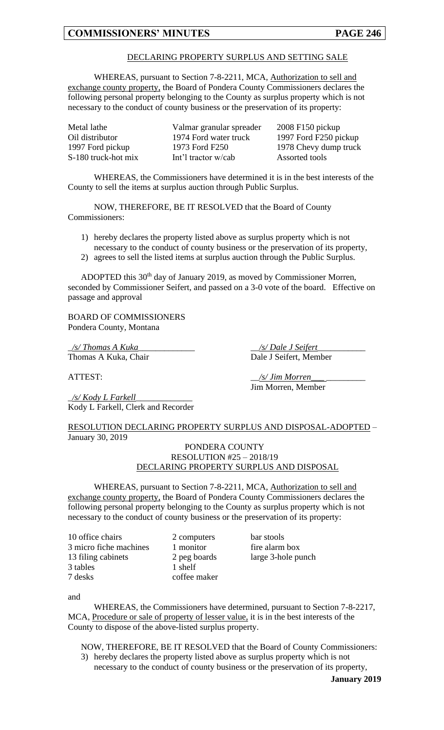### DECLARING PROPERTY SURPLUS AND SETTING SALE

WHEREAS, pursuant to Section 7-8-2211, MCA, Authorization to sell and exchange county property, the Board of Pondera County Commissioners declares the following personal property belonging to the County as surplus property which is not necessary to the conduct of county business or the preservation of its property:

| Metal lathe         | Valmar granular spreader | $2008$ F150 pickup    |
|---------------------|--------------------------|-----------------------|
| Oil distributor     | 1974 Ford water truck    | 1997 Ford F250 pickup |
| 1997 Ford pickup    | 1973 Ford F250           | 1978 Chevy dump truck |
| S-180 truck-hot mix | Int'l tractor w/cab      | Assorted tools        |

WHEREAS, the Commissioners have determined it is in the best interests of the County to sell the items at surplus auction through Public Surplus.

NOW, THEREFORE, BE IT RESOLVED that the Board of County Commissioners:

- 1) hereby declares the property listed above as surplus property which is not necessary to the conduct of county business or the preservation of its property,
- 2) agrees to sell the listed items at surplus auction through the Public Surplus.

ADOPTED this 30<sup>th</sup> day of January 2019, as moved by Commissioner Morren, seconded by Commissioner Seifert, and passed on a 3-0 vote of the board. Effective on passage and approval

BOARD OF COMMISSIONERS Pondera County, Montana

\_*/s/ Thomas A Kuka*\_\_\_\_\_\_\_\_\_\_\_\_\_ \_\_*/s/ Dale J Seifert*\_\_\_\_\_\_\_\_\_\_\_

\_*/s/ Kody L Farkell*\_\_\_\_\_\_\_\_\_\_\_\_\_ Kody L Farkell, Clerk and Recorder

RESOLUTION DECLARING PROPERTY SURPLUS AND DISPOSAL-ADOPTED – January 30, 2019

#### PONDERA COUNTY RESOLUTION #25 – 2018/19 DECLARING PROPERTY SURPLUS AND DISPOSAL

WHEREAS, pursuant to Section 7-8-2211, MCA, Authorization to sell and exchange county property, the Board of Pondera County Commissioners declares the following personal property belonging to the County as surplus property which is not necessary to the conduct of county business or the preservation of its property:

10 office chairs 2 computers bar stools 3 micro fiche machines 1 monitor fire alarm box 13 filing cabinets 2 peg boards large 3-hole punch 3 tables 1 shelf 7 desks coffee maker

and

WHEREAS, the Commissioners have determined, pursuant to Section 7-8-2217, MCA, Procedure or sale of property of lesser value, it is in the best interests of the County to dispose of the above-listed surplus property.

NOW, THEREFORE, BE IT RESOLVED that the Board of County Commissioners: 3) hereby declares the property listed above as surplus property which is not

necessary to the conduct of county business or the preservation of its property,

**January 2019**

Thomas A Kuka, Chair Dale J Seifert, Member

ATTEST:  $\frac{1}{s}$  /s/ Jim Morren

Jim Morren, Member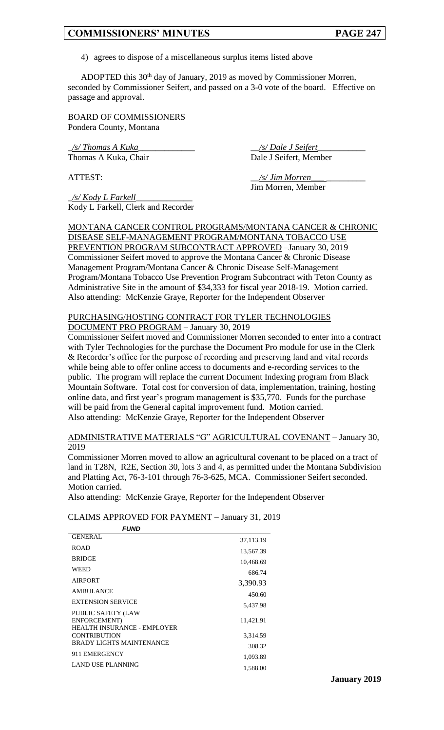4) agrees to dispose of a miscellaneous surplus items listed above

ADOPTED this 30th day of January, 2019 as moved by Commissioner Morren, seconded by Commissioner Seifert, and passed on a 3-0 vote of the board. Effective on passage and approval.

BOARD OF COMMISSIONERS Pondera County, Montana

\_*/s/ Thomas A Kuka*\_\_\_\_\_\_\_\_\_\_\_\_\_ \_\_*/s/ Dale J Seifert*\_\_\_\_\_\_\_\_\_\_\_ Thomas A Kuka, Chair Dale J Seifert, Member

ATTEST:  $\frac{1}{s}$  /s/ Jim Morren\_ Jim Morren, Member

\_*/s/ Kody L Farkell*\_\_\_\_\_\_\_\_\_\_\_\_\_ Kody L Farkell, Clerk and Recorder

MONTANA CANCER CONTROL PROGRAMS/MONTANA CANCER & CHRONIC DISEASE SELF-MANAGEMENT PROGRAM/MONTANA TOBACCO USE PREVENTION PROGRAM SUBCONTRACT APPROVED –January 30, 2019 Commissioner Seifert moved to approve the Montana Cancer & Chronic Disease Management Program/Montana Cancer & Chronic Disease Self-Management Program/Montana Tobacco Use Prevention Program Subcontract with Teton County as Administrative Site in the amount of \$34,333 for fiscal year 2018-19. Motion carried. Also attending: McKenzie Graye, Reporter for the Independent Observer

#### PURCHASING/HOSTING CONTRACT FOR TYLER TECHNOLOGIES DOCUMENT PRO PROGRAM – January 30, 2019

Commissioner Seifert moved and Commissioner Morren seconded to enter into a contract with Tyler Technologies for the purchase the Document Pro module for use in the Clerk & Recorder's office for the purpose of recording and preserving land and vital records while being able to offer online access to documents and e-recording services to the public. The program will replace the current Document Indexing program from Black Mountain Software. Total cost for conversion of data, implementation, training, hosting online data, and first year's program management is \$35,770. Funds for the purchase will be paid from the General capital improvement fund. Motion carried. Also attending: McKenzie Graye, Reporter for the Independent Observer

### ADMINISTRATIVE MATERIALS "G" AGRICULTURAL COVENANT – January 30, 2019

Commissioner Morren moved to allow an agricultural covenant to be placed on a tract of land in T28N, R2E, Section 30, lots 3 and 4, as permitted under the Montana Subdivision and Platting Act, 76-3-101 through 76-3-625, MCA. Commissioner Seifert seconded. Motion carried.

Also attending: McKenzie Graye, Reporter for the Independent Observer

#### CLAIMS APPROVED FOR PAYMENT – January 31, 2019

| <b>FUND</b>                                                                     |           |
|---------------------------------------------------------------------------------|-----------|
| <b>GENERAL</b>                                                                  | 37,113.19 |
| <b>ROAD</b>                                                                     | 13,567.39 |
| <b>BRIDGE</b>                                                                   | 10,468.69 |
| WEED                                                                            | 686.74    |
| <b>AIRPORT</b>                                                                  | 3,390.93  |
| <b>AMBULANCE</b>                                                                | 450.60    |
| <b>EXTENSION SERVICE</b>                                                        | 5,437.98  |
| <b>PUBLIC SAFETY (LAW</b><br>ENFORCEMENT)<br><b>HEALTH INSURANCE - EMPLOYER</b> | 11,421.91 |
| <b>CONTRIBUTION</b>                                                             | 3,314.59  |
| <b>BRADY LIGHTS MAINTENANCE</b>                                                 | 308.32    |
| 911 EMERGENCY                                                                   | 1,093.89  |
| LAND USE PLANNING                                                               | 1,588.00  |